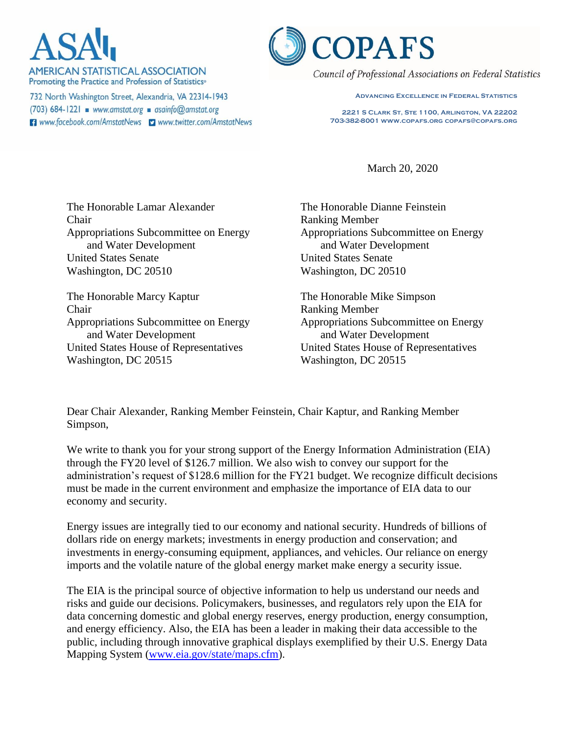**AMERICAN STATISTICAL ASSOCIATION** Promoting the Practice and Profession of Statistics<sup>®</sup>

732 North Washington Street, Alexandria, VA 22314-1943  $(703)$  684-1221 www.amstat.org asainfo@amstat.org **El** www.facebook.com/AmstatNews **D** www.twitter.com/AmstatNews



Council of Professional Associations on Federal Statistics

**Advancing Excellence in Federal Statistics**

**2221 S Clark St, Ste 1100, Arlington, VA 22202 703-382-8001 www.copafs.org copafs@copafs.org**

March 20, 2020

The Honorable Lamar Alexander Chair Appropriations Subcommittee on Energy and Water Development United States Senate Washington, DC 20510

The Honorable Marcy Kaptur Chair Appropriations Subcommittee on Energy and Water Development United States House of Representatives Washington, DC 20515

The Honorable Dianne Feinstein Ranking Member Appropriations Subcommittee on Energy and Water Development United States Senate Washington, DC 20510

The Honorable Mike Simpson Ranking Member Appropriations Subcommittee on Energy and Water Development United States House of Representatives Washington, DC 20515

Dear Chair Alexander, Ranking Member Feinstein, Chair Kaptur, and Ranking Member Simpson,

We write to thank you for your strong support of the Energy Information Administration (EIA) through the FY20 level of \$126.7 million. We also wish to convey our support for the administration's request of \$128.6 million for the FY21 budget. We recognize difficult decisions must be made in the current environment and emphasize the importance of EIA data to our economy and security.

Energy issues are integrally tied to our economy and national security. Hundreds of billions of dollars ride on energy markets; investments in energy production and conservation; and investments in energy-consuming equipment, appliances, and vehicles. Our reliance on energy imports and the volatile nature of the global energy market make energy a security issue.

The EIA is the principal source of objective information to help us understand our needs and risks and guide our decisions. Policymakers, businesses, and regulators rely upon the EIA for data concerning domestic and global energy reserves, energy production, energy consumption, and energy efficiency. Also, the EIA has been a leader in making their data accessible to the public, including through innovative graphical displays exemplified by their U.S. Energy Data Mapping System [\(www.eia.gov/state/maps.cfm\)](http://www.eia.gov/state/maps.cfm).